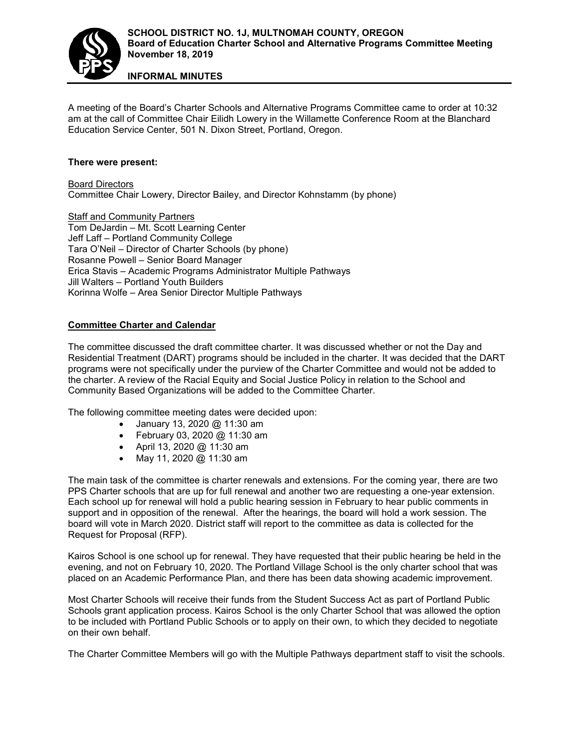

**INFORMAL MINUTES**

A meeting of the Board's Charter Schools and Alternative Programs Committee came to order at 10:32 am at the call of Committee Chair Eilidh Lowery in the Willamette Conference Room at the Blanchard Education Service Center, 501 N. Dixon Street, Portland, Oregon.

## **There were present:**

Board Directors Committee Chair Lowery, Director Bailey, and Director Kohnstamm (by phone)

Staff and Community Partners Tom DeJardin – Mt. Scott Learning Center Jeff Laff – Portland Community College Tara O'Neil – Director of Charter Schools (by phone) Rosanne Powell – Senior Board Manager Erica Stavis – Academic Programs Administrator Multiple Pathways Jill Walters – Portland Youth Builders Korinna Wolfe – Area Senior Director Multiple Pathways

## **Committee Charter and Calendar**

The committee discussed the draft committee charter. It was discussed whether or not the Day and Residential Treatment (DART) programs should be included in the charter. It was decided that the DART programs were not specifically under the purview of the Charter Committee and would not be added to the charter. A review of the Racial Equity and Social Justice Policy in relation to the School and Community Based Organizations will be added to the Committee Charter.

The following committee meeting dates were decided upon:

- January 13, 2020 @ 11:30 am
- February 03, 2020 @ 11:30 am
- April 13, 2020 @ 11:30 am
- May 11, 2020 @ 11:30 am

The main task of the committee is charter renewals and extensions. For the coming year, there are two PPS Charter schools that are up for full renewal and another two are requesting a one-year extension. Each school up for renewal will hold a public hearing session in February to hear public comments in support and in opposition of the renewal. After the hearings, the board will hold a work session. The board will vote in March 2020. District staff will report to the committee as data is collected for the Request for Proposal (RFP).

Kairos School is one school up for renewal. They have requested that their public hearing be held in the evening, and not on February 10, 2020. The Portland Village School is the only charter school that was placed on an Academic Performance Plan, and there has been data showing academic improvement.

Most Charter Schools will receive their funds from the Student Success Act as part of Portland Public Schools grant application process. Kairos School is the only Charter School that was allowed the option to be included with Portland Public Schools or to apply on their own, to which they decided to negotiate on their own behalf.

The Charter Committee Members will go with the Multiple Pathways department staff to visit the schools.